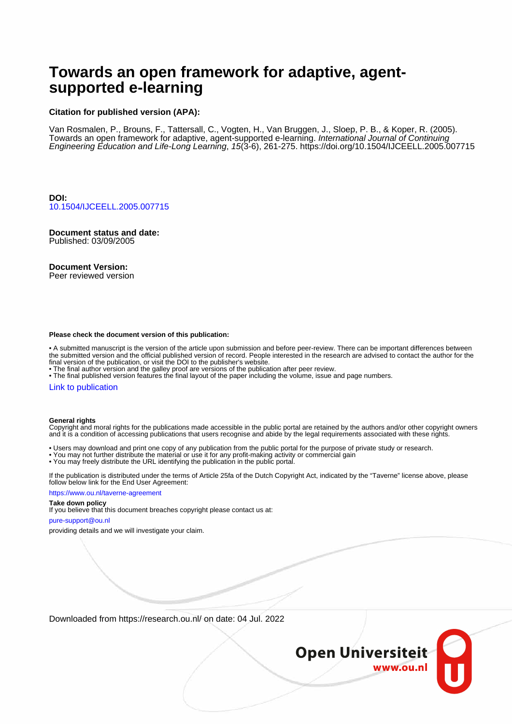# **Towards an open framework for adaptive, agentsupported e-learning**

## **Citation for published version (APA):**

Van Rosmalen, P., Brouns, F., Tattersall, C., Vogten, H., Van Bruggen, J., Sloep, P. B., & Koper, R. (2005). Towards an open framework for adaptive, agent-supported e-learning. International Journal of Continuing Engineering Education and Life-Long Learning, 15(3-6), 261-275. <https://doi.org/10.1504/IJCEELL.2005.007715>

**DOI:** [10.1504/IJCEELL.2005.007715](https://doi.org/10.1504/IJCEELL.2005.007715)

## **Document status and date:**

Published: 03/09/2005

#### **Document Version:**

Peer reviewed version

#### **Please check the document version of this publication:**

• A submitted manuscript is the version of the article upon submission and before peer-review. There can be important differences between the submitted version and the official published version of record. People interested in the research are advised to contact the author for the final version of the publication, or visit the DOI to the publisher's website.

• The final author version and the galley proof are versions of the publication after peer review.

• The final published version features the final layout of the paper including the volume, issue and page numbers.

#### [Link to publication](https://research.ou.nl/en/publications/bbc0f4ad-3f01-4397-b565-f6ef3aa8c820)

#### **General rights**

Copyright and moral rights for the publications made accessible in the public portal are retained by the authors and/or other copyright owners and it is a condition of accessing publications that users recognise and abide by the legal requirements associated with these rights.

- Users may download and print one copy of any publication from the public portal for the purpose of private study or research.
- You may not further distribute the material or use it for any profit-making activity or commercial gain
- You may freely distribute the URL identifying the publication in the public portal.

If the publication is distributed under the terms of Article 25fa of the Dutch Copyright Act, indicated by the "Taverne" license above, please follow below link for the End User Agreement:

#### https://www.ou.nl/taverne-agreement

## **Take down policy**

If you believe that this document breaches copyright please contact us at:

#### pure-support@ou.nl

providing details and we will investigate your claim.

Downloaded from https://research.ou.nl/ on date: 04 Jul. 2022

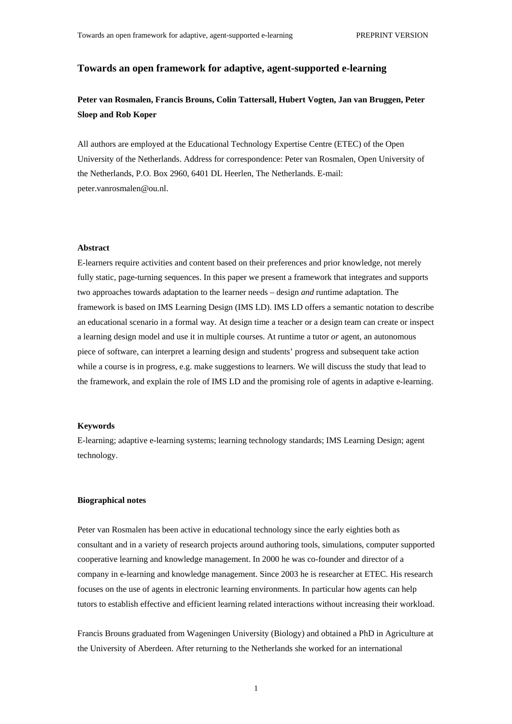## **Towards an open framework for adaptive, agent-supported e-learning**

## **Peter van Rosmalen, Francis Brouns, Colin Tattersall, Hubert Vogten, Jan van Bruggen, Peter Sloep and Rob Koper**

All authors are employed at the Educational Technology Expertise Centre (ETEC) of the Open University of the Netherlands. Address for correspondence: Peter van Rosmalen, Open University of the Netherlands, P.O. Box 2960, 6401 DL Heerlen, The Netherlands. E-mail: peter.vanrosmalen@ou.nl.

#### **Abstract**

E-learners require activities and content based on their preferences and prior knowledge, not merely fully static, page-turning sequences. In this paper we present a framework that integrates and supports two approaches towards adaptation to the learner needs – design *and* runtime adaptation. The framework is based on IMS Learning Design (IMS LD). IMS LD offers a semantic notation to describe an educational scenario in a formal way. At design time a teacher or a design team can create or inspect a learning design model and use it in multiple courses. At runtime a tutor *or* agent, an autonomous piece of software, can interpret a learning design and students' progress and subsequent take action while a course is in progress, e.g. make suggestions to learners. We will discuss the study that lead to the framework, and explain the role of IMS LD and the promising role of agents in adaptive e-learning.

#### **Keywords**

E-learning; adaptive e-learning systems; learning technology standards; IMS Learning Design; agent technology.

#### **Biographical notes**

Peter van Rosmalen has been active in educational technology since the early eighties both as consultant and in a variety of research projects around authoring tools, simulations, computer supported cooperative learning and knowledge management. In 2000 he was co-founder and director of a company in e-learning and knowledge management. Since 2003 he is researcher at ETEC. His research focuses on the use of agents in electronic learning environments. In particular how agents can help tutors to establish effective and efficient learning related interactions without increasing their workload.

Francis Brouns graduated from Wageningen University (Biology) and obtained a PhD in Agriculture at the University of Aberdeen. After returning to the Netherlands she worked for an international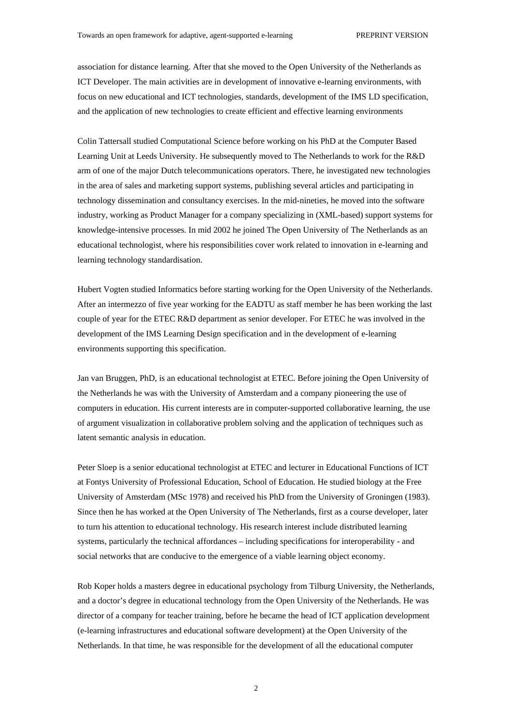association for distance learning. After that she moved to the Open University of the Netherlands as ICT Developer. The main activities are in development of innovative e-learning environments, with focus on new educational and ICT technologies, standards, development of the IMS LD specification, and the application of new technologies to create efficient and effective learning environments

Colin Tattersall studied Computational Science before working on his PhD at the Computer Based Learning Unit at Leeds University. He subsequently moved to The Netherlands to work for the R&D arm of one of the major Dutch telecommunications operators. There, he investigated new technologies in the area of sales and marketing support systems, publishing several articles and participating in technology dissemination and consultancy exercises. In the mid-nineties, he moved into the software industry, working as Product Manager for a company specializing in (XML-based) support systems for knowledge-intensive processes. In mid 2002 he joined The Open University of The Netherlands as an educational technologist, where his responsibilities cover work related to innovation in e-learning and learning technology standardisation.

Hubert Vogten studied Informatics before starting working for the Open University of the Netherlands. After an intermezzo of five year working for the EADTU as staff member he has been working the last couple of year for the ETEC R&D department as senior developer. For ETEC he was involved in the development of the IMS Learning Design specification and in the development of e-learning environments supporting this specification.

Jan van Bruggen, PhD, is an educational technologist at ETEC. Before joining the Open University of the Netherlands he was with the University of Amsterdam and a company pioneering the use of computers in education. His current interests are in computer-supported collaborative learning, the use of argument visualization in collaborative problem solving and the application of techniques such as latent semantic analysis in education.

Peter Sloep is a senior educational technologist at ETEC and lecturer in Educational Functions of ICT at Fontys University of Professional Education, School of Education. He studied biology at the Free University of Amsterdam (MSc 1978) and received his PhD from the University of Groningen (1983). Since then he has worked at the Open University of The Netherlands, first as a course developer, later to turn his attention to educational technology. His research interest include distributed learning systems, particularly the technical affordances – including specifications for interoperability - and social networks that are conducive to the emergence of a viable learning object economy.

Rob Koper holds a masters degree in educational psychology from Tilburg University, the Netherlands, and a doctor's degree in educational technology from the Open University of the Netherlands. He was director of a company for teacher training, before he became the head of ICT application development (e-learning infrastructures and educational software development) at the Open University of the Netherlands. In that time, he was responsible for the development of all the educational computer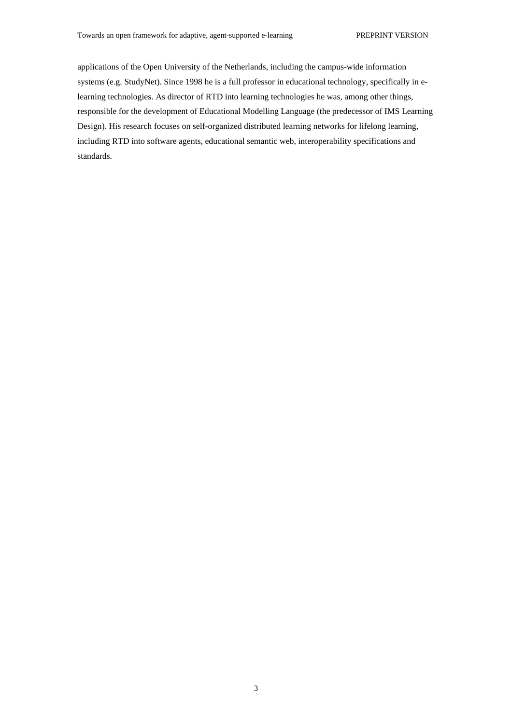applications of the Open University of the Netherlands, including the campus-wide information systems (e.g. StudyNet). Since 1998 he is a full professor in educational technology, specifically in elearning technologies. As director of RTD into learning technologies he was, among other things, responsible for the development of Educational Modelling Language (the predecessor of IMS Learning Design). His research focuses on self-organized distributed learning networks for lifelong learning, including RTD into software agents, educational semantic web, interoperability specifications and standards.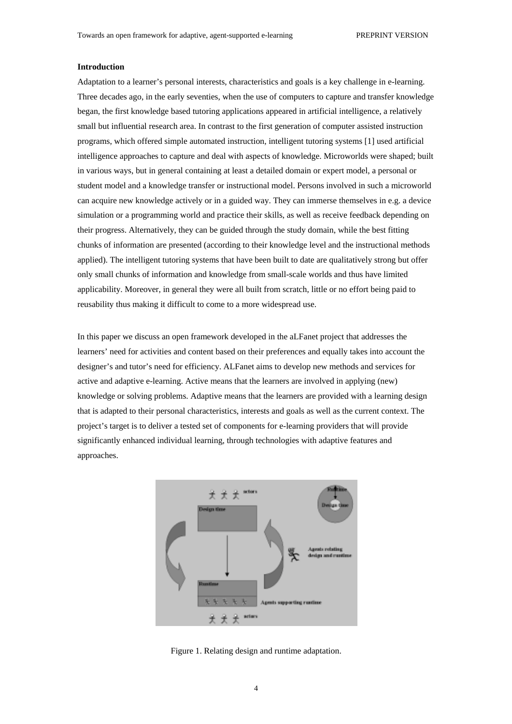#### **Introduction**

Adaptation to a learner's personal interests, characteristics and goals is a key challenge in e-learning. Three decades ago, in the early seventies, when the use of computers to capture and transfer knowledge began, the first knowledge based tutoring applications appeared in artificial intelligence, a relatively small but influential research area. In contrast to the first generation of computer assisted instruction programs, which offered simple automated instruction, intelligent tutoring systems [1] used artificial intelligence approaches to capture and deal with aspects of knowledge. Microworlds were shaped; built in various ways, but in general containing at least a detailed domain or expert model, a personal or student model and a knowledge transfer or instructional model. Persons involved in such a microworld can acquire new knowledge actively or in a guided way. They can immerse themselves in e.g. a device simulation or a programming world and practice their skills, as well as receive feedback depending on their progress. Alternatively, they can be guided through the study domain, while the best fitting chunks of information are presented (according to their knowledge level and the instructional methods applied). The intelligent tutoring systems that have been built to date are qualitatively strong but offer only small chunks of information and knowledge from small-scale worlds and thus have limited applicability. Moreover, in general they were all built from scratch, little or no effort being paid to reusability thus making it difficult to come to a more widespread use.

In this paper we discuss an open framework developed in the aLFanet project that addresses the learners' need for activities and content based on their preferences and equally takes into account the designer's and tutor's need for efficiency. ALFanet aims to develop new methods and services for active and adaptive e-learning. Active means that the learners are involved in applying (new) knowledge or solving problems. Adaptive means that the learners are provided with a learning design that is adapted to their personal characteristics, interests and goals as well as the current context. The project's target is to deliver a tested set of components for e-learning providers that will provide significantly enhanced individual learning, through technologies with adaptive features and approaches.



Figure 1. Relating design and runtime adaptation.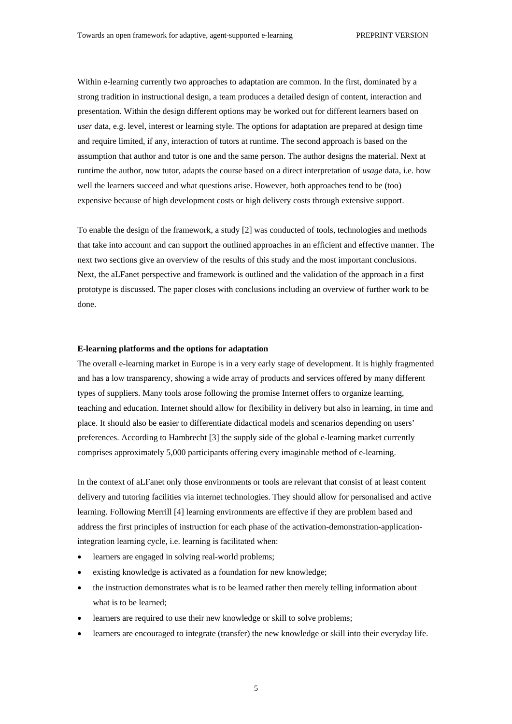Within e-learning currently two approaches to adaptation are common. In the first, dominated by a strong tradition in instructional design, a team produces a detailed design of content, interaction and presentation. Within the design different options may be worked out for different learners based on *user* data, e.g. level, interest or learning style. The options for adaptation are prepared at design time and require limited, if any, interaction of tutors at runtime. The second approach is based on the assumption that author and tutor is one and the same person. The author designs the material. Next at runtime the author, now tutor, adapts the course based on a direct interpretation of *usage* data, i.e. how well the learners succeed and what questions arise. However, both approaches tend to be (too) expensive because of high development costs or high delivery costs through extensive support.

To enable the design of the framework, a study [2] was conducted of tools, technologies and methods that take into account and can support the outlined approaches in an efficient and effective manner. The next two sections give an overview of the results of this study and the most important conclusions. Next, the aLFanet perspective and framework is outlined and the validation of the approach in a first prototype is discussed. The paper closes with conclusions including an overview of further work to be done.

#### **E-learning platforms and the options for adaptation**

The overall e-learning market in Europe is in a very early stage of development. It is highly fragmented and has a low transparency, showing a wide array of products and services offered by many different types of suppliers. Many tools arose following the promise Internet offers to organize learning, teaching and education. Internet should allow for flexibility in delivery but also in learning, in time and place. It should also be easier to differentiate didactical models and scenarios depending on users' preferences. According to Hambrecht [3] the supply side of the global e-learning market currently comprises approximately 5,000 participants offering every imaginable method of e-learning.

In the context of aLFanet only those environments or tools are relevant that consist of at least content delivery and tutoring facilities via internet technologies. They should allow for personalised and active learning. Following Merrill [4] learning environments are effective if they are problem based and address the first principles of instruction for each phase of the activation-demonstration-applicationintegration learning cycle, i.e. learning is facilitated when:

- learners are engaged in solving real-world problems;
- existing knowledge is activated as a foundation for new knowledge:
- the instruction demonstrates what is to be learned rather then merely telling information about what is to be learned;
- learners are required to use their new knowledge or skill to solve problems;
- learners are encouraged to integrate (transfer) the new knowledge or skill into their everyday life.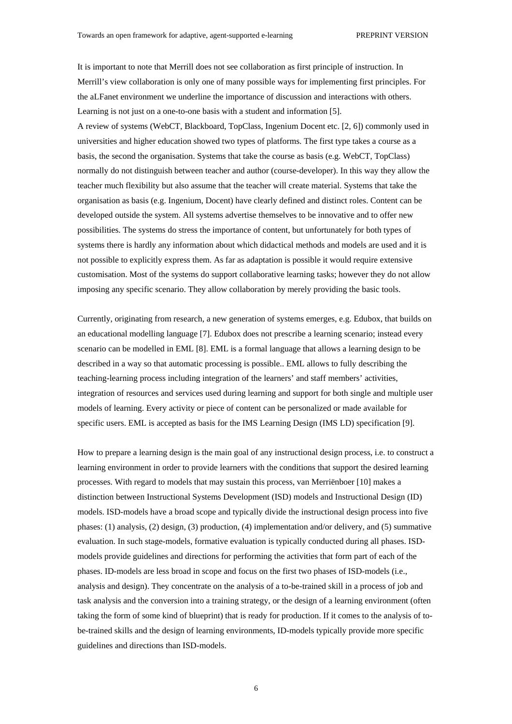It is important to note that Merrill does not see collaboration as first principle of instruction. In Merrill's view collaboration is only one of many possible ways for implementing first principles. For the aLFanet environment we underline the importance of discussion and interactions with others. Learning is not just on a one-to-one basis with a student and information [5]. A review of systems (WebCT, Blackboard, TopClass, Ingenium Docent etc. [2, 6]) commonly used in universities and higher education showed two types of platforms. The first type takes a course as a basis, the second the organisation. Systems that take the course as basis (e.g. WebCT, TopClass) normally do not distinguish between teacher and author (course-developer). In this way they allow the teacher much flexibility but also assume that the teacher will create material. Systems that take the organisation as basis (e.g. Ingenium, Docent) have clearly defined and distinct roles. Content can be developed outside the system. All systems advertise themselves to be innovative and to offer new possibilities. The systems do stress the importance of content, but unfortunately for both types of systems there is hardly any information about which didactical methods and models are used and it is not possible to explicitly express them. As far as adaptation is possible it would require extensive customisation. Most of the systems do support collaborative learning tasks; however they do not allow imposing any specific scenario. They allow collaboration by merely providing the basic tools.

Currently, originating from research, a new generation of systems emerges, e.g. Edubox, that builds on an educational modelling language [7]. Edubox does not prescribe a learning scenario; instead every scenario can be modelled in EML [8]. EML is a formal language that allows a learning design to be described in a way so that automatic processing is possible.. EML allows to fully describing the teaching-learning process including integration of the learners' and staff members' activities, integration of resources and services used during learning and support for both single and multiple user models of learning. Every activity or piece of content can be personalized or made available for specific users. EML is accepted as basis for the IMS Learning Design (IMS LD) specification [9].

How to prepare a learning design is the main goal of any instructional design process, i.e. to construct a learning environment in order to provide learners with the conditions that support the desired learning processes. With regard to models that may sustain this process, van Merriënboer [10] makes a distinction between Instructional Systems Development (ISD) models and Instructional Design (ID) models. ISD-models have a broad scope and typically divide the instructional design process into five phases: (1) analysis, (2) design, (3) production, (4) implementation and/or delivery, and (5) summative evaluation. In such stage-models, formative evaluation is typically conducted during all phases. ISDmodels provide guidelines and directions for performing the activities that form part of each of the phases. ID-models are less broad in scope and focus on the first two phases of ISD-models (i.e., analysis and design). They concentrate on the analysis of a to-be-trained skill in a process of job and task analysis and the conversion into a training strategy, or the design of a learning environment (often taking the form of some kind of blueprint) that is ready for production. If it comes to the analysis of tobe-trained skills and the design of learning environments, ID-models typically provide more specific guidelines and directions than ISD-models.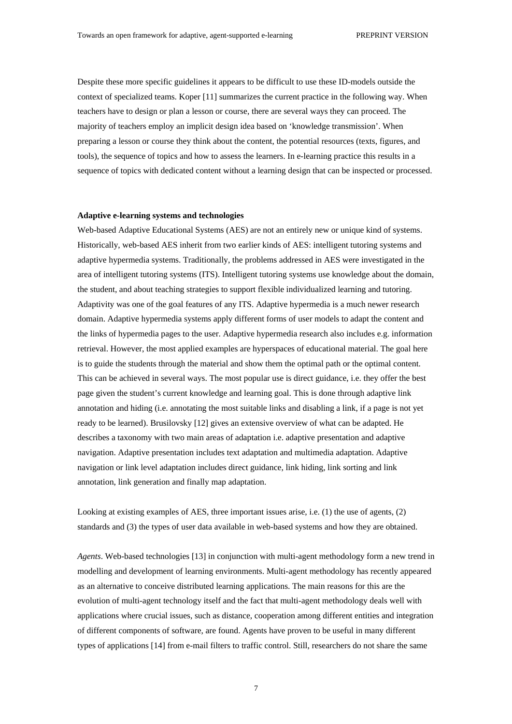Despite these more specific guidelines it appears to be difficult to use these ID-models outside the context of specialized teams. Koper [11] summarizes the current practice in the following way. When teachers have to design or plan a lesson or course, there are several ways they can proceed. The majority of teachers employ an implicit design idea based on 'knowledge transmission'. When preparing a lesson or course they think about the content, the potential resources (texts, figures, and tools), the sequence of topics and how to assess the learners. In e-learning practice this results in a sequence of topics with dedicated content without a learning design that can be inspected or processed.

## **Adaptive e-learning systems and technologies**

Web-based Adaptive Educational Systems (AES) are not an entirely new or unique kind of systems. Historically, web-based AES inherit from two earlier kinds of AES: intelligent tutoring systems and adaptive hypermedia systems. Traditionally, the problems addressed in AES were investigated in the area of intelligent tutoring systems (ITS). Intelligent tutoring systems use knowledge about the domain, the student, and about teaching strategies to support flexible individualized learning and tutoring. Adaptivity was one of the goal features of any ITS. Adaptive hypermedia is a much newer research domain. Adaptive hypermedia systems apply different forms of user models to adapt the content and the links of hypermedia pages to the user. Adaptive hypermedia research also includes e.g. information retrieval. However, the most applied examples are hyperspaces of educational material. The goal here is to guide the students through the material and show them the optimal path or the optimal content. This can be achieved in several ways. The most popular use is direct guidance, i.e. they offer the best page given the student's current knowledge and learning goal. This is done through adaptive link annotation and hiding (i.e. annotating the most suitable links and disabling a link, if a page is not yet ready to be learned). Brusilovsky [12] gives an extensive overview of what can be adapted. He describes a taxonomy with two main areas of adaptation i.e. adaptive presentation and adaptive navigation. Adaptive presentation includes text adaptation and multimedia adaptation. Adaptive navigation or link level adaptation includes direct guidance, link hiding, link sorting and link annotation, link generation and finally map adaptation.

Looking at existing examples of AES, three important issues arise, i.e. (1) the use of agents, (2) standards and (3) the types of user data available in web-based systems and how they are obtained.

*Agents*. Web-based technologies [13] in conjunction with multi-agent methodology form a new trend in modelling and development of learning environments. Multi-agent methodology has recently appeared as an alternative to conceive distributed learning applications. The main reasons for this are the evolution of multi-agent technology itself and the fact that multi-agent methodology deals well with applications where crucial issues, such as distance, cooperation among different entities and integration of different components of software, are found. Agents have proven to be useful in many different types of applications [14] from e-mail filters to traffic control. Still, researchers do not share the same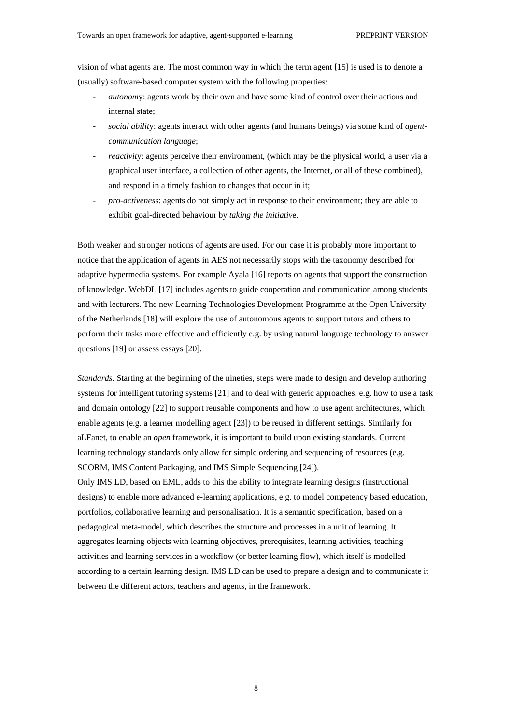vision of what agents are. The most common way in which the term agent [15] is used is to denote a (usually) software-based computer system with the following properties:

- *autonomy*: agents work by their own and have some kind of control over their actions and internal state;
- *social abilit*y: agents interact with other agents (and humans beings) via some kind of *agentcommunication language*;
- *reactivity*: agents perceive their environment, (which may be the physical world, a user via a graphical user interface, a collection of other agents, the Internet, or all of these combined), and respond in a timely fashion to changes that occur in it;
- *pro-activenes*s: agents do not simply act in response to their environment; they are able to exhibit goal-directed behaviour by *taking the initiativ*e.

Both weaker and stronger notions of agents are used. For our case it is probably more important to notice that the application of agents in AES not necessarily stops with the taxonomy described for adaptive hypermedia systems. For example Ayala [16] reports on agents that support the construction of knowledge. WebDL [17] includes agents to guide cooperation and communication among students and with lecturers. The new Learning Technologies Development Programme at the Open University of the Netherlands [18] will explore the use of autonomous agents to support tutors and others to perform their tasks more effective and efficiently e.g. by using natural language technology to answer questions [19] or assess essays [20].

*Standards*. Starting at the beginning of the nineties, steps were made to design and develop authoring systems for intelligent tutoring systems [21] and to deal with generic approaches, e.g. how to use a task and domain ontology [22] to support reusable components and how to use agent architectures, which enable agents (e.g. a learner modelling agent [23]) to be reused in different settings. Similarly for aLFanet, to enable an *open* framework, it is important to build upon existing standards. Current learning technology standards only allow for simple ordering and sequencing of resources (e.g. SCORM, IMS Content Packaging, and IMS Simple Sequencing [24]).

Only IMS LD, based on EML, adds to this the ability to integrate learning designs (instructional designs) to enable more advanced e-learning applications, e.g. to model competency based education, portfolios, collaborative learning and personalisation. It is a semantic specification, based on a pedagogical meta-model, which describes the structure and processes in a unit of learning. It aggregates learning objects with learning objectives, prerequisites, learning activities, teaching activities and learning services in a workflow (or better learning flow), which itself is modelled according to a certain learning design. IMS LD can be used to prepare a design and to communicate it between the different actors, teachers and agents, in the framework.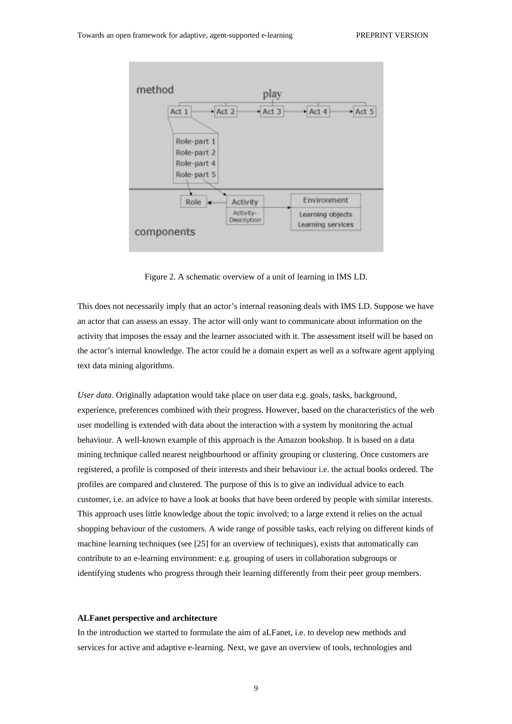

Figure 2. A schematic overview of a unit of learning in IMS LD.

This does not necessarily imply that an actor's internal reasoning deals with IMS LD. Suppose we have an actor that can assess an essay. The actor will only want to communicate about information on the activity that imposes the essay and the learner associated with it. The assessment itself will be based on the actor's internal knowledge. The actor could be a domain expert as well as a software agent applying text data mining algorithms.

*User data*. Originally adaptation would take place on user data e.g. goals, tasks, background, experience, preferences combined with their progress. However, based on the characteristics of the web user modelling is extended with data about the interaction with a system by monitoring the actual behaviour. A well-known example of this approach is the Amazon bookshop. It is based on a data mining technique called nearest neighbourhood or affinity grouping or clustering. Once customers are registered, a profile is composed of their interests and their behaviour i.e. the actual books ordered. The profiles are compared and clustered. The purpose of this is to give an individual advice to each customer, i.e. an advice to have a look at books that have been ordered by people with similar interests. This approach uses little knowledge about the topic involved; to a large extend it relies on the actual shopping behaviour of the customers. A wide range of possible tasks, each relying on different kinds of machine learning techniques (see [25] for an overview of techniques), exists that automatically can contribute to an e-learning environment: e.g. grouping of users in collaboration subgroups or identifying students who progress through their learning differently from their peer group members.

#### **ALFanet perspective and architecture**

In the introduction we started to formulate the aim of aLFanet, i.e. to develop new methods and services for active and adaptive e-learning. Next, we gave an overview of tools, technologies and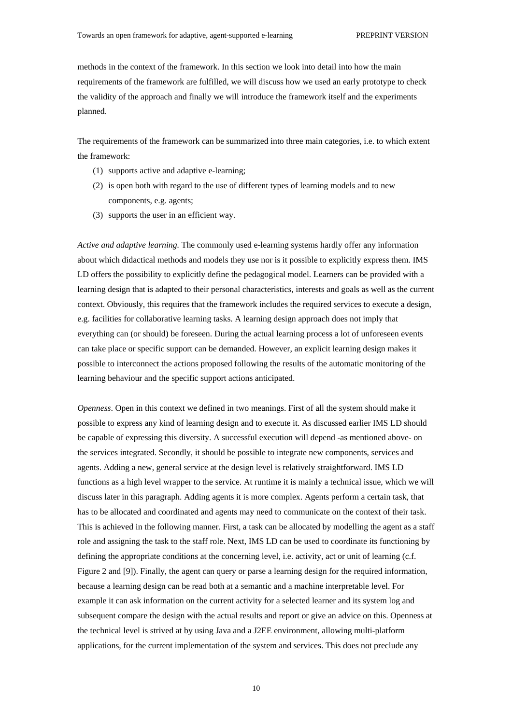methods in the context of the framework. In this section we look into detail into how the main requirements of the framework are fulfilled, we will discuss how we used an early prototype to check the validity of the approach and finally we will introduce the framework itself and the experiments planned.

The requirements of the framework can be summarized into three main categories, i.e. to which extent the framework:

- (1) supports active and adaptive e-learning;
- (2) is open both with regard to the use of different types of learning models and to new components, e.g. agents;
- (3) supports the user in an efficient way.

*Active and adaptive learning.* The commonly used e-learning systems hardly offer any information about which didactical methods and models they use nor is it possible to explicitly express them. IMS LD offers the possibility to explicitly define the pedagogical model. Learners can be provided with a learning design that is adapted to their personal characteristics, interests and goals as well as the current context. Obviously, this requires that the framework includes the required services to execute a design, e.g. facilities for collaborative learning tasks. A learning design approach does not imply that everything can (or should) be foreseen. During the actual learning process a lot of unforeseen events can take place or specific support can be demanded. However, an explicit learning design makes it possible to interconnect the actions proposed following the results of the automatic monitoring of the learning behaviour and the specific support actions anticipated.

*Openness*. Open in this context we defined in two meanings. First of all the system should make it possible to express any kind of learning design and to execute it. As discussed earlier IMS LD should be capable of expressing this diversity. A successful execution will depend -as mentioned above- on the services integrated. Secondly, it should be possible to integrate new components, services and agents. Adding a new, general service at the design level is relatively straightforward. IMS LD functions as a high level wrapper to the service. At runtime it is mainly a technical issue, which we will discuss later in this paragraph. Adding agents it is more complex. Agents perform a certain task, that has to be allocated and coordinated and agents may need to communicate on the context of their task. This is achieved in the following manner. First, a task can be allocated by modelling the agent as a staff role and assigning the task to the staff role. Next, IMS LD can be used to coordinate its functioning by defining the appropriate conditions at the concerning level, i.e. activity, act or unit of learning (c.f. Figure 2 and [9]). Finally, the agent can query or parse a learning design for the required information, because a learning design can be read both at a semantic and a machine interpretable level. For example it can ask information on the current activity for a selected learner and its system log and subsequent compare the design with the actual results and report or give an advice on this. Openness at the technical level is strived at by using Java and a J2EE environment, allowing multi-platform applications, for the current implementation of the system and services. This does not preclude any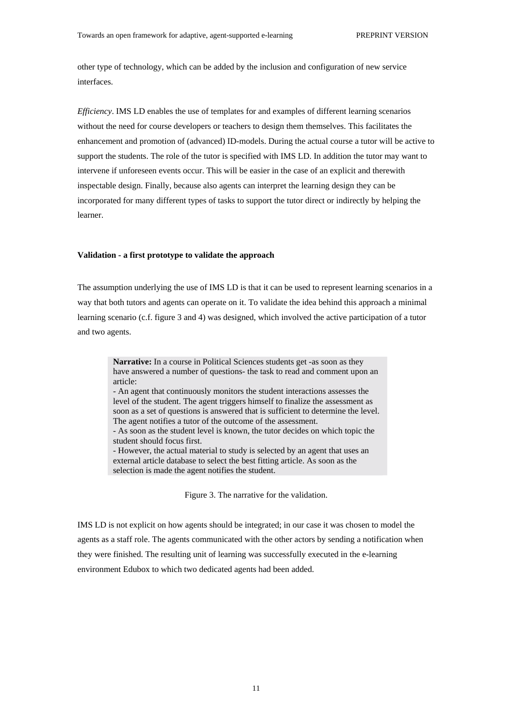other type of technology, which can be added by the inclusion and configuration of new service interfaces.

*Efficiency*. IMS LD enables the use of templates for and examples of different learning scenarios without the need for course developers or teachers to design them themselves. This facilitates the enhancement and promotion of (advanced) ID-models. During the actual course a tutor will be active to support the students. The role of the tutor is specified with IMS LD. In addition the tutor may want to intervene if unforeseen events occur. This will be easier in the case of an explicit and therewith inspectable design. Finally, because also agents can interpret the learning design they can be incorporated for many different types of tasks to support the tutor direct or indirectly by helping the learner.

#### **Validation - a first prototype to validate the approach**

The assumption underlying the use of IMS LD is that it can be used to represent learning scenarios in a way that both tutors and agents can operate on it. To validate the idea behind this approach a minimal learning scenario (c.f. figure 3 and 4) was designed, which involved the active participation of a tutor and two agents.

> **Narrative:** In a course in Political Sciences students get -as soon as they have answered a number of questions- the task to read and comment upon an article:

> - An agent that continuously monitors the student interactions assesses the level of the student. The agent triggers himself to finalize the assessment as soon as a set of questions is answered that is sufficient to determine the level. The agent notifies a tutor of the outcome of the assessment.

- As soon as the student level is known, the tutor decides on which topic the student should focus first.

- However, the actual material to study is selected by an agent that uses an external article database to select the best fitting article. As soon as the selection is made the agent notifies the student.

Figure 3. The narrative for the validation.

IMS LD is not explicit on how agents should be integrated; in our case it was chosen to model the agents as a staff role. The agents communicated with the other actors by sending a notification when they were finished. The resulting unit of learning was successfully executed in the e-learning environment Edubox to which two dedicated agents had been added.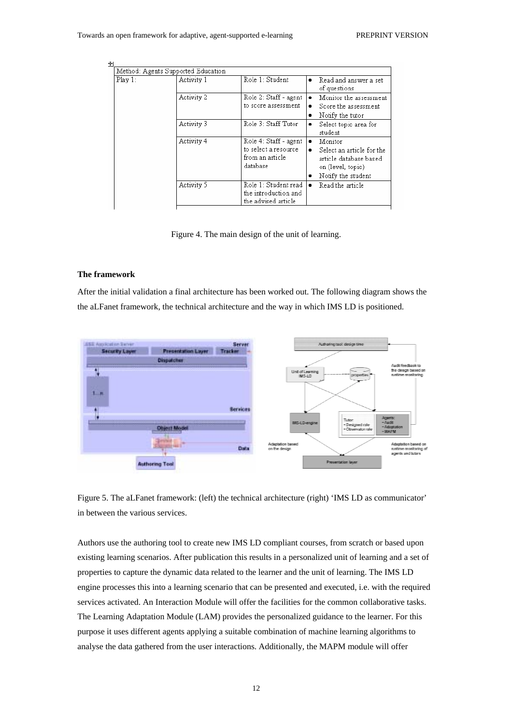| 型 |                                    |            |                                                                              |                        |                                                                                                           |
|---|------------------------------------|------------|------------------------------------------------------------------------------|------------------------|-----------------------------------------------------------------------------------------------------------|
|   | Method: Agents Supported Education |            |                                                                              |                        |                                                                                                           |
|   | $Play 1$ :                         | Activity 1 | Role 1: Student                                                              |                        | Read and answer a set<br>of questions                                                                     |
|   |                                    | Activity 2 | Role 2: Staff - agent                                                        | $\bullet$              | Monitor the assessment                                                                                    |
|   |                                    |            | to score assessment.                                                         |                        | Score the assessment                                                                                      |
|   |                                    |            |                                                                              |                        | Notify the tutor                                                                                          |
|   |                                    | Activity 3 | Role 3: Staff Tutor                                                          |                        | Select topic area for<br>student.                                                                         |
|   |                                    | Activity 4 | Role 4: Staff - agent<br>to select a resource<br>from an article<br>database | $\bullet$<br>$\bullet$ | Monitor<br>Select an article for the<br>article database based<br>on (level, topic)<br>Notify the student |
|   |                                    | Activity 5 | Role 1: Student read<br>the introduction and<br>the advised article          | $\bullet$              | Read the article                                                                                          |

Figure 4. The main design of the unit of learning.

#### **The framework**

After the initial validation a final architecture has been worked out. The following diagram shows the the aLFanet framework, the technical architecture and the way in which IMS LD is positioned.



Figure 5. The aLFanet framework: (left) the technical architecture (right) 'IMS LD as communicator' in between the various services.

Authors use the authoring tool to create new IMS LD compliant courses, from scratch or based upon existing learning scenarios. After publication this results in a personalized unit of learning and a set of properties to capture the dynamic data related to the learner and the unit of learning. The IMS LD engine processes this into a learning scenario that can be presented and executed, i.e. with the required services activated. An Interaction Module will offer the facilities for the common collaborative tasks. The Learning Adaptation Module (LAM) provides the personalized guidance to the learner. For this purpose it uses different agents applying a suitable combination of machine learning algorithms to analyse the data gathered from the user interactions. Additionally, the MAPM module will offer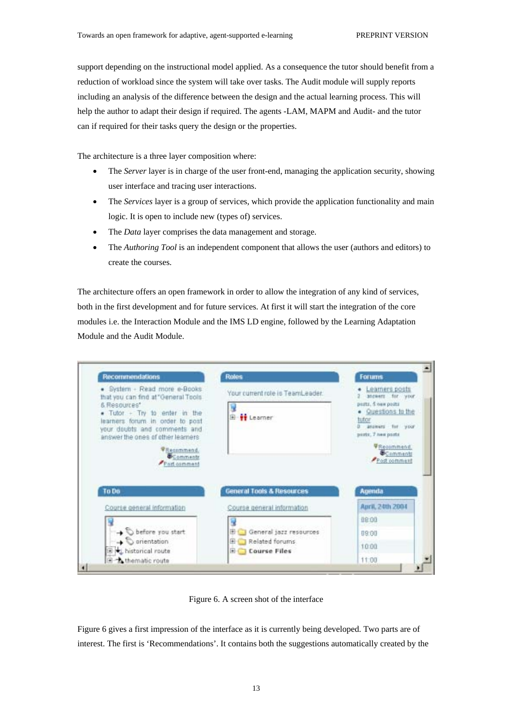support depending on the instructional model applied. As a consequence the tutor should benefit from a reduction of workload since the system will take over tasks. The Audit module will supply reports including an analysis of the difference between the design and the actual learning process. This will help the author to adapt their design if required. The agents -LAM, MAPM and Audit- and the tutor can if required for their tasks query the design or the properties.

The architecture is a three layer composition where:

- The *Server* layer is in charge of the user front-end, managing the application security, showing user interface and tracing user interactions.
- The *Services* layer is a group of services, which provide the application functionality and main logic. It is open to include new (types of) services.
- The *Data* layer comprises the data management and storage.
- The *Authoring Tool* is an independent component that allows the user (authors and editors) to create the courses.

The architecture offers an open framework in order to allow the integration of any kind of services, both in the first development and for future services. At first it will start the integration of the core modules i.e. the Interaction Module and the IMS LD engine, followed by the Learning Adaptation Module and the Audit Module.

| · Bystem - Read more e-Books<br>that you can find at "General Tools<br>6. Resources*<br>. Tutor - Try to enter in the<br>learners forum in order to post<br>your doubts and comments and<br>answer the ones of other learners<br><b>WEessmmend</b><br>Comments | Your current role is TeamLeader.<br><b>If Learner</b><br>圓 | Learners posts<br>anywers for your<br>perts, 5 oex posts<br>· Questions to the<br>tutor<br>3 answers for your<br>perty, 7 her ports<br><b>FRegimment</b><br><b><i>Camments</i></b><br>Post comment |
|----------------------------------------------------------------------------------------------------------------------------------------------------------------------------------------------------------------------------------------------------------------|------------------------------------------------------------|----------------------------------------------------------------------------------------------------------------------------------------------------------------------------------------------------|
| Part comment                                                                                                                                                                                                                                                   |                                                            |                                                                                                                                                                                                    |
| To Do                                                                                                                                                                                                                                                          | <b>General Tools &amp; Resources</b>                       | <b>Agenda</b>                                                                                                                                                                                      |
| Course general information                                                                                                                                                                                                                                     | Course general information                                 | April, 24th 2004                                                                                                                                                                                   |
|                                                                                                                                                                                                                                                                |                                                            | 08:00                                                                                                                                                                                              |
| before you start                                                                                                                                                                                                                                               | General jazz resources<br>画                                | 09.00                                                                                                                                                                                              |
| $\rightarrow$ $\circ$ orientation<br>L historical route                                                                                                                                                                                                        | Related forums.<br>圓<br><b>Course Files</b><br>国           | 10:00                                                                                                                                                                                              |

Figure 6. A screen shot of the interface

Figure 6 gives a first impression of the interface as it is currently being developed. Two parts are of interest. The first is 'Recommendations'. It contains both the suggestions automatically created by the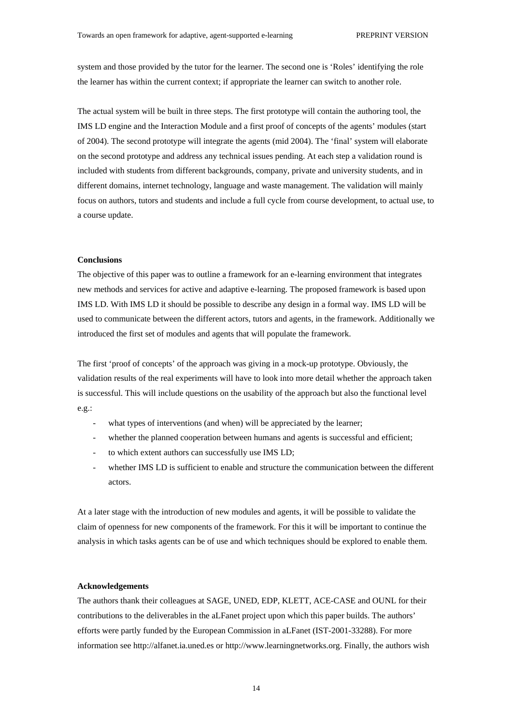system and those provided by the tutor for the learner. The second one is 'Roles' identifying the role the learner has within the current context; if appropriate the learner can switch to another role.

The actual system will be built in three steps. The first prototype will contain the authoring tool, the IMS LD engine and the Interaction Module and a first proof of concepts of the agents' modules (start of 2004). The second prototype will integrate the agents (mid 2004). The 'final' system will elaborate on the second prototype and address any technical issues pending. At each step a validation round is included with students from different backgrounds, company, private and university students, and in different domains, internet technology, language and waste management. The validation will mainly focus on authors, tutors and students and include a full cycle from course development, to actual use, to a course update.

#### **Conclusions**

The objective of this paper was to outline a framework for an e-learning environment that integrates new methods and services for active and adaptive e-learning. The proposed framework is based upon IMS LD. With IMS LD it should be possible to describe any design in a formal way. IMS LD will be used to communicate between the different actors, tutors and agents, in the framework. Additionally we introduced the first set of modules and agents that will populate the framework.

The first 'proof of concepts' of the approach was giving in a mock-up prototype. Obviously, the validation results of the real experiments will have to look into more detail whether the approach taken is successful. This will include questions on the usability of the approach but also the functional level e.g.:

- what types of interventions (and when) will be appreciated by the learner;
- whether the planned cooperation between humans and agents is successful and efficient;
- to which extent authors can successfully use IMS LD;
- whether IMS LD is sufficient to enable and structure the communication between the different actors.

At a later stage with the introduction of new modules and agents, it will be possible to validate the claim of openness for new components of the framework. For this it will be important to continue the analysis in which tasks agents can be of use and which techniques should be explored to enable them.

#### **Acknowledgements**

The authors thank their colleagues at SAGE, UNED, EDP, KLETT, ACE-CASE and OUNL for their contributions to the deliverables in the aLFanet project upon which this paper builds. The authors' efforts were partly funded by the European Commission in aLFanet (IST-2001-33288). For more information see http://alfanet.ia.uned.es or http://www.learningnetworks.org. Finally, the authors wish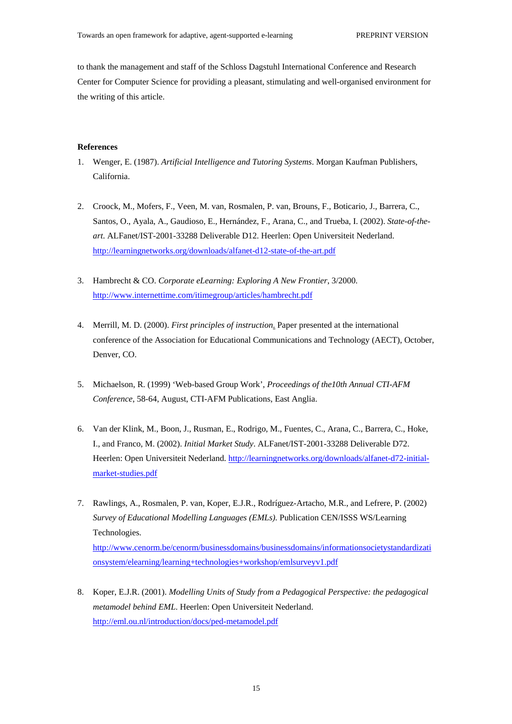to thank the management and staff of the Schloss Dagstuhl International Conference and Research Center for Computer Science for providing a pleasant, stimulating and well-organised environment for the writing of this article.

### **References**

- 1. Wenger, E. (1987). *Artificial Intelligence and Tutoring Systems*. Morgan Kaufman Publishers, California.
- 2. Croock, M., Mofers, F., Veen, M. van, Rosmalen, P. van, Brouns, F., Boticario, J., Barrera, C., Santos, O., Ayala, A., Gaudioso, E., Hernández, F., Arana, C., and Trueba, I. (2002). *State-of-theart*. ALFanet/IST-2001-33288 Deliverable D12. Heerlen: Open Universiteit Nederland. http://learningnetworks.org/downloads/alfanet-d12-state-of-the-art.pdf
- 3. Hambrecht & CO. *Corporate eLearning: Exploring A New Frontier*, 3/2000. http://www.internettime.com/itimegroup/articles/hambrecht.pdf
- 4. Merrill, M. D. (2000). *First principles of instruction*. Paper presented at the international conference of the Association for Educational Communications and Technology (AECT), October, Denver, CO.
- 5. Michaelson, R. (1999) 'Web-based Group Work', *Proceedings of the10th Annual CTI-AFM Conference*, 58-64, August, CTI-AFM Publications, East Anglia.
- 6. Van der Klink, M., Boon, J., Rusman, E., Rodrigo, M., Fuentes, C., Arana, C., Barrera, C., Hoke, I., and Franco, M. (2002). *Initial Market Study*. ALFanet/IST-2001-33288 Deliverable D72. Heerlen: Open Universiteit Nederland. http://learningnetworks.org/downloads/alfanet-d72-initialmarket-studies.pdf
- 7. Rawlings, A., Rosmalen, P. van, Koper, E.J.R., Rodríguez-Artacho, M.R., and Lefrere, P. (2002) *Survey of Educational Modelling Languages (EMLs).* Publication CEN/ISSS WS/Learning Technologies. http://www.cenorm.be/cenorm/businessdomains/businessdomains/informationsocietystandardizati onsystem/elearning/learning+technologies+workshop/emlsurveyv1.pdf
- 8. Koper, E.J.R. (2001). *Modelling Units of Study from a Pedagogical Perspective: the pedagogical metamodel behind EML*. Heerlen: Open Universiteit Nederland. http://eml.ou.nl/introduction/docs/ped-metamodel.pdf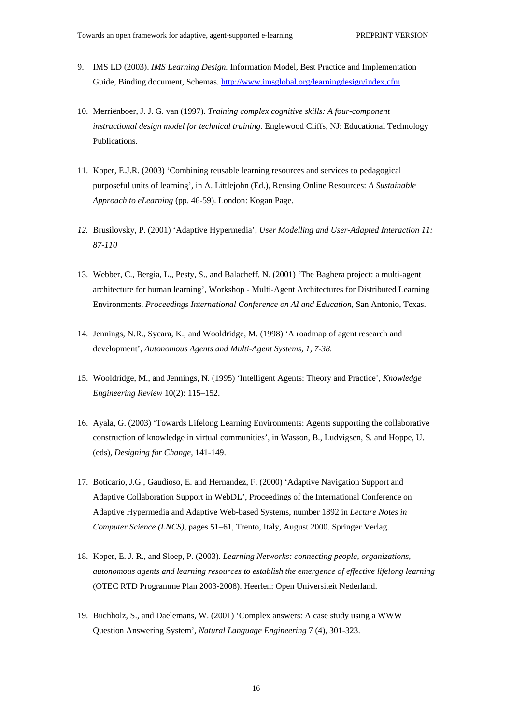- 9. IMS LD (2003). *IMS Learning Design.* Information Model, Best Practice and Implementation Guide, Binding document, Schemas*.* http://www.imsglobal.org/learningdesign/index.cfm
- 10. Merriënboer, J. J. G. van (1997). *Training complex cognitive skills: A four-component instructional design model for technical training.* Englewood Cliffs, NJ: Educational Technology Publications.
- 11. Koper, E.J.R. (2003) 'Combining reusable learning resources and services to pedagogical purposeful units of learning', in A. Littlejohn (Ed.), Reusing Online Resources: *A Sustainable Approach to eLearning* (pp. 46-59). London: Kogan Page.
- *12.* Brusilovsky, P. (2001) 'Adaptive Hypermedia', *User Modelling and User-Adapted Interaction 11: 87-110*
- 13. Webber, C., Bergia, L., Pesty, S., and Balacheff, N. (2001) 'The Baghera project: a multi-agent architecture for human learning', Workshop - Multi-Agent Architectures for Distributed Learning Environments. *Proceedings International Conference on AI and Education*, San Antonio, Texas.
- 14. Jennings, N.R., Sycara, K., and Wooldridge, M. (1998) 'A roadmap of agent research and development', *Autonomous Agents and Multi-Agent Systems, 1, 7-38.*
- 15. Wooldridge, M., and Jennings, N. (1995) 'Intelligent Agents: Theory and Practice', *Knowledge Engineering Review* 10(2): 115–152.
- 16. Ayala, G. (2003) 'Towards Lifelong Learning Environments: Agents supporting the collaborative construction of knowledge in virtual communities', in Wasson, B., Ludvigsen, S. and Hoppe, U. (eds), *Designing for Change*, 141-149.
- 17. Boticario, J.G., Gaudioso, E. and Hernandez, F. (2000) 'Adaptive Navigation Support and Adaptive Collaboration Support in WebDL', Proceedings of the International Conference on Adaptive Hypermedia and Adaptive Web-based Systems, number 1892 in *Lecture Notes in Computer Science (LNCS)*, pages 51–61, Trento, Italy, August 2000. Springer Verlag.
- 18. Koper, E. J. R., and Sloep, P. (2003). *Learning Networks: connecting people, organizations, autonomous agents and learning resources to establish the emergence of effective lifelong learning* (OTEC RTD Programme Plan 2003-2008). Heerlen: Open Universiteit Nederland.
- 19. Buchholz, S., and Daelemans, W. (2001) 'Complex answers: A case study using a WWW Question Answering System', *Natural Language Engineering* 7 (4), 301-323.